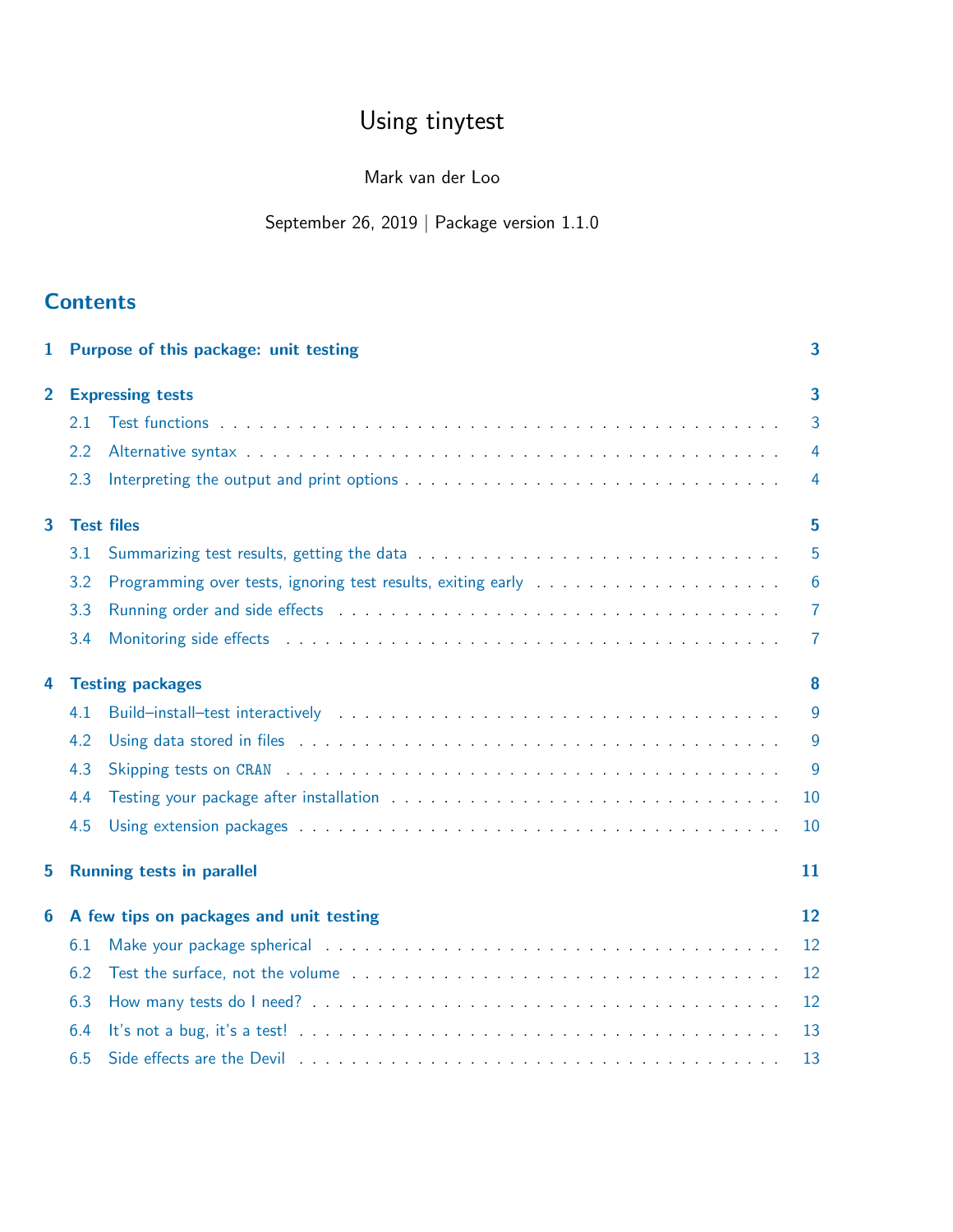# Using tinytest

## Mark van der Loo

# September 26, 2019 | Package version 1.1.0

# **Contents**

| 1                       |     | Purpose of this package: unit testing                                                                                                                                                                                         | 3               |  |  |  |
|-------------------------|-----|-------------------------------------------------------------------------------------------------------------------------------------------------------------------------------------------------------------------------------|-----------------|--|--|--|
| $\overline{2}$          |     | <b>Expressing tests</b>                                                                                                                                                                                                       | 3               |  |  |  |
|                         | 2.1 |                                                                                                                                                                                                                               | 3               |  |  |  |
|                         | 2.2 |                                                                                                                                                                                                                               | $\overline{4}$  |  |  |  |
|                         | 2.3 |                                                                                                                                                                                                                               | 4               |  |  |  |
| $\overline{\mathbf{3}}$ |     | <b>Test files</b>                                                                                                                                                                                                             | 5               |  |  |  |
|                         | 3.1 |                                                                                                                                                                                                                               | 5               |  |  |  |
|                         | 3.2 |                                                                                                                                                                                                                               | $6\phantom{1}6$ |  |  |  |
|                         | 3.3 |                                                                                                                                                                                                                               | $\overline{7}$  |  |  |  |
|                         | 3.4 |                                                                                                                                                                                                                               | 7               |  |  |  |
| 4                       |     | <b>Testing packages</b>                                                                                                                                                                                                       |                 |  |  |  |
|                         | 4.1 | Build-install-test interactively resources in the set of the set of the set of the set of the set of the set of the set of the set of the set of the set of the set of the set of the set of the set of the set of the set of | 9               |  |  |  |
|                         | 4.2 | Using data stored in files enterpretent in the context of the context of the context of the context of the context.                                                                                                           | 9               |  |  |  |
|                         | 4.3 |                                                                                                                                                                                                                               | $\overline{9}$  |  |  |  |
|                         | 4.4 |                                                                                                                                                                                                                               | 10              |  |  |  |
|                         | 4.5 |                                                                                                                                                                                                                               | 10              |  |  |  |
| 5                       |     | <b>Running tests in parallel</b><br>11                                                                                                                                                                                        |                 |  |  |  |
| 6                       |     | A few tips on packages and unit testing                                                                                                                                                                                       | 12              |  |  |  |
|                         | 6.1 |                                                                                                                                                                                                                               | 12              |  |  |  |
|                         | 6.2 |                                                                                                                                                                                                                               | 12              |  |  |  |
|                         | 6.3 |                                                                                                                                                                                                                               | 12              |  |  |  |
|                         | 6.4 |                                                                                                                                                                                                                               | 13              |  |  |  |
|                         | 6.5 |                                                                                                                                                                                                                               | 13              |  |  |  |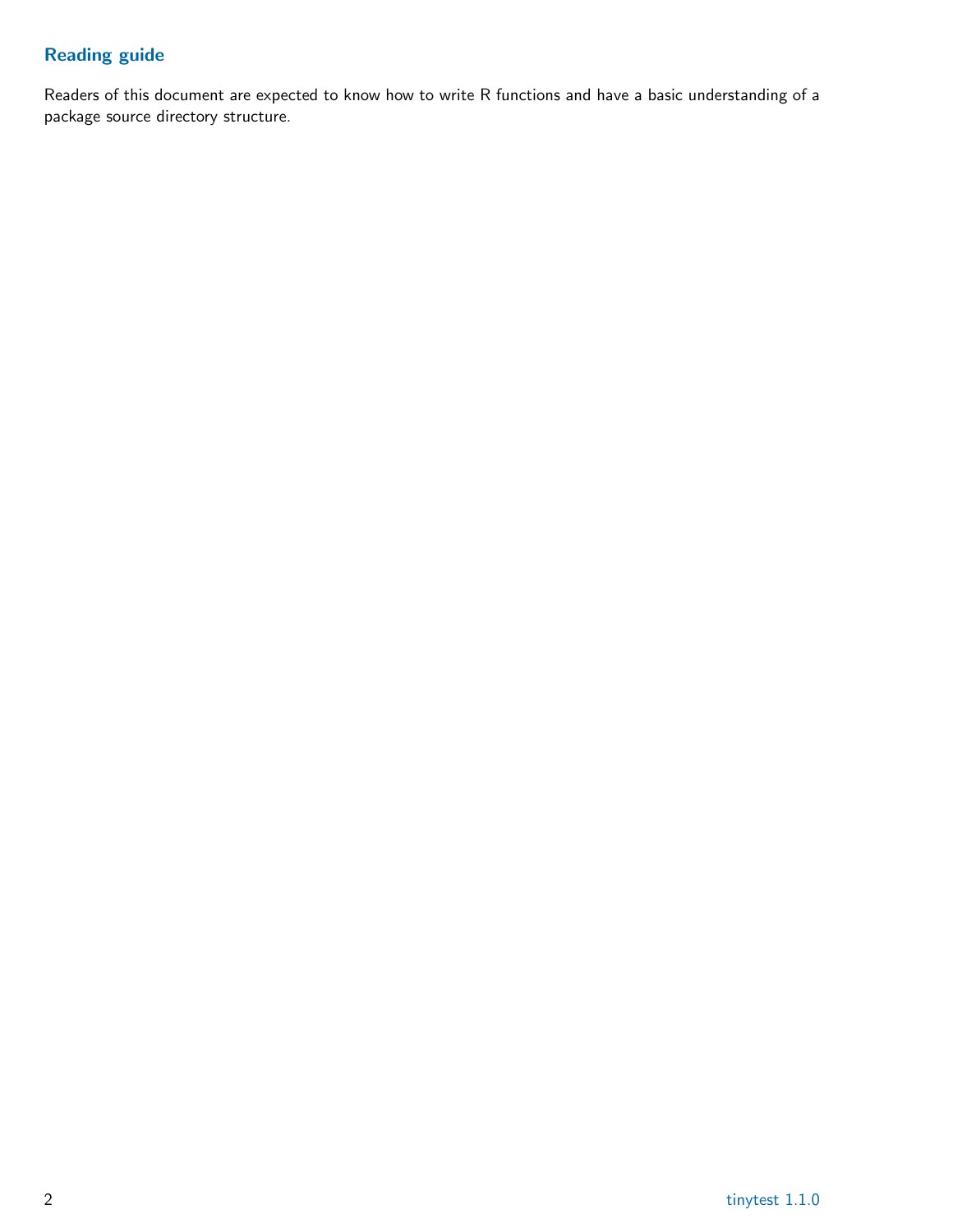# Reading guide

Readers of this document are expected to know how to write R functions and have a basic understanding of a package source directory structure.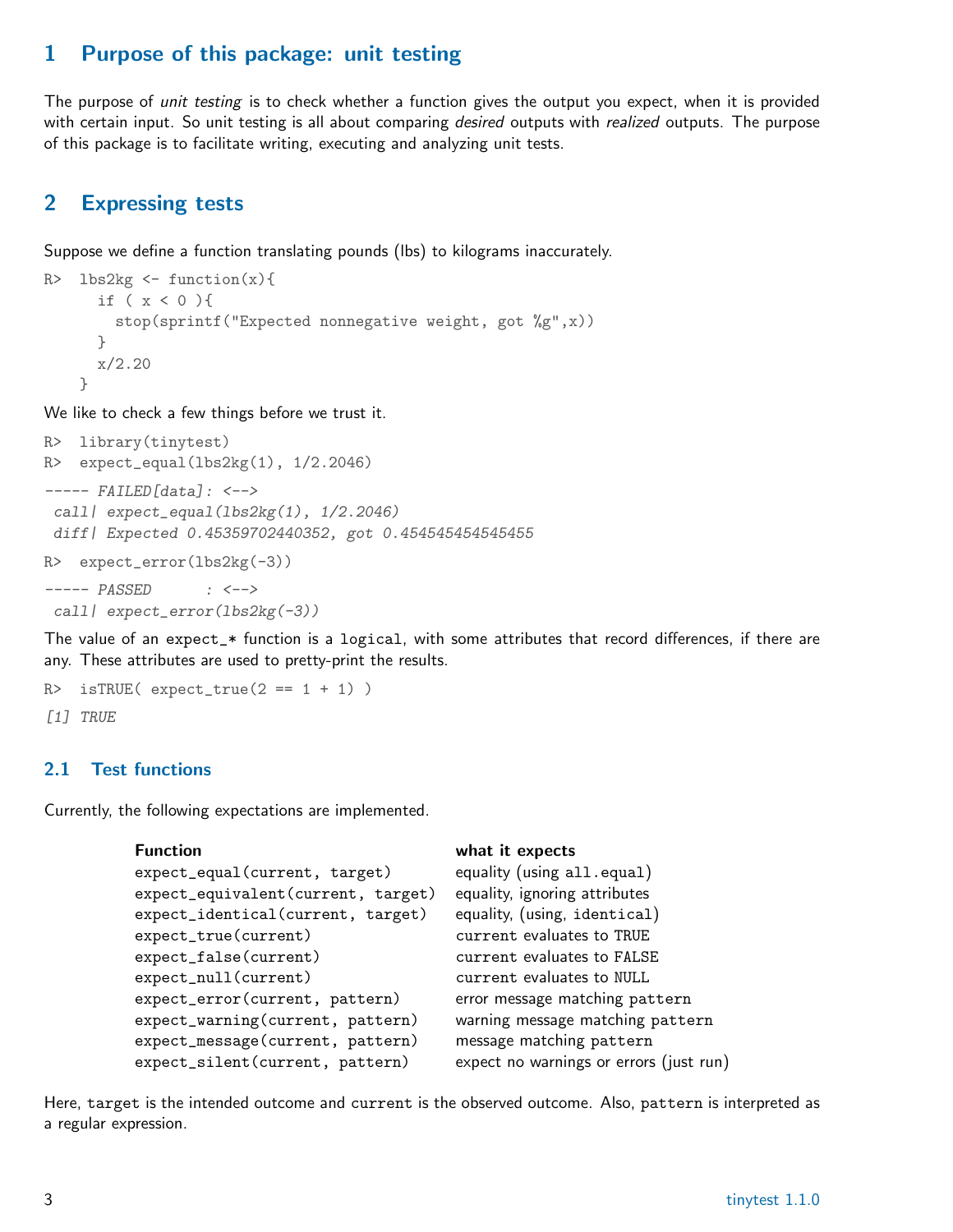# <span id="page-2-0"></span>1 Purpose of this package: unit testing

The purpose of *unit testing* is to check whether a function gives the output you expect, when it is provided with certain input. So unit testing is all about comparing *desired* outputs with *realized* outputs. The purpose of this package is to facilitate writing, executing and analyzing unit tests.

## <span id="page-2-1"></span>2 Expressing tests

Suppose we define a function translating pounds (lbs) to kilograms inaccurately.

```
R> lbs2kg \leftarrow function(x){
      if ( x < 0 ){
        stop(sprintf("Expected nonnegative weight, got %g",x))
      }
      x/2.20
    }
```
We like to check a few things before we trust it.

```
R> library(tinytest)
R> expect_equal(lbs2kg(1), 1/2.2046)
----- FAILED[data]: <-->
 call | expect_equal(lbs2kg(1), 1/2.2046)
 diff| Expected 0.45359702440352, got 0.454545454545455
R> expect_error(lbs2kg(-3))
```
----- PASSED : <-->

call | expect\_error(lbs2kg(-3))

The value of an expect\_\* function is a logical, with some attributes that record differences, if there are any. These attributes are used to pretty-print the results.

```
R > isTRUE( expect_true(2 == 1 + 1) )
[1] TRUE
```
#### <span id="page-2-2"></span>2.1 Test functions

Currently, the following expectations are implemented.

| <b>Function</b>                    | what it expects                         |
|------------------------------------|-----------------------------------------|
| expect_equal(current, target)      | equality (using all.equal)              |
| expect_equivalent(current, target) | equality, ignoring attributes           |
| expect_identical(current, target)  | equality, (using, identical)            |
| expect_true(current)               | current evaluates to TRUE               |
| expect_false(current)              | current evaluates to FALSE              |
| expect_null(current)               | current evaluates to NULL               |
| expect_error(current, pattern)     | error message matching pattern          |
| expect_warning(current, pattern)   | warning message matching pattern        |
| expect_message(current, pattern)   | message matching pattern                |
| expect_silent(current, pattern)    | expect no warnings or errors (just run) |

Here, target is the intended outcome and current is the observed outcome. Also, pattern is interpreted as a regular expression.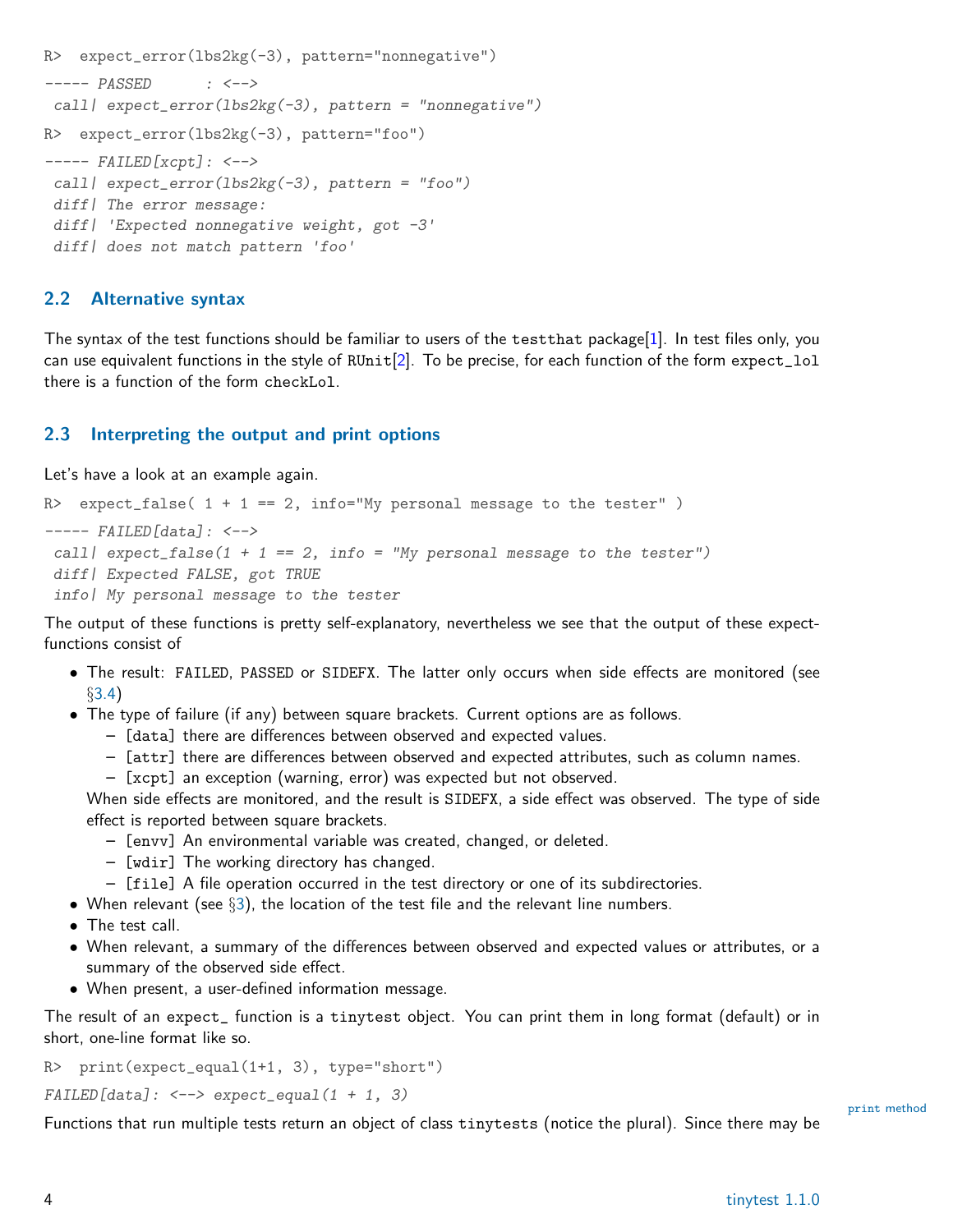```
R> expect_error(lbs2kg(-3), pattern="nonnegative")
----- PASSED : <-->
 call | expect_error(lbs2kg(-3), pattern = "nonnegative")
R> expect_error(lbs2kg(-3), pattern="foo")
----- FAILED[xcpt]: <-->
 call \exp{\text{ect\_error}}(\text{ls2kg}(-3)), pattern = "foo")
 diff | The error message:
 diff| 'Expected nonnegative weight, got -3'
 diff | does not match pattern 'foo'
```
#### <span id="page-3-0"></span>2.2 Alternative syntax

The syntax of the test functions should be familiar to users of the testthat package[\[1\]](#page-14-0). In test files only, you can use equivalent functions in the style of RUnit[\[2\]](#page-14-1). To be precise, for each function of the form expect\_lol there is a function of the form checkLol.

#### <span id="page-3-1"></span>2.3 Interpreting the output and print options

Let's have a look at an example again.

```
R> expect_false( 1 + 1 == 2, info="My personal message to the tester" )
----- FAILED[data]: <-->
 call | expect_false(1 + 1 == 2, info = "My personal message to the tester")
 diff | Expected FALSE, got TRUE
 info| My personal message to the tester
```
The output of these functions is pretty self-explanatory, nevertheless we see that the output of these expectfunctions consist of

- The result: FAILED, PASSED or SIDEFX. The latter only occurs when side effects are monitored (see §[3.4\)](#page-6-1)
- The type of failure (if any) between square brackets. Current options are as follows.
	- [data] there are differences between observed and expected values.
	- [attr] there are differences between observed and expected attributes, such as column names.
	- [xcpt] an exception (warning, error) was expected but not observed.

When side effects are monitored, and the result is SIDEFX, a side effect was observed. The type of side effect is reported between square brackets.

- [envv] An environmental variable was created, changed, or deleted.
- [wdir] The working directory has changed.
- [file] A file operation occurred in the test directory or one of its subdirectories.
- When relevant (see  $\S$ [3\)](#page-4-0), the location of the test file and the relevant line numbers.
- The test call.
- When relevant, a summary of the differences between observed and expected values or attributes, or a summary of the observed side effect.
- When present, a user-defined information message.

The result of an expect\_ function is a tinytest object. You can print them in long format (default) or in short, one-line format like so.

```
print(expect_equal(1+1, 3), type="short")
```
 $FAILED[data]: \leftarrow-> \text{expect\_equal}(1 + 1, 3)$ 

Functions that run multiple tests return an object of class tinytests (notice the plural). Since there may be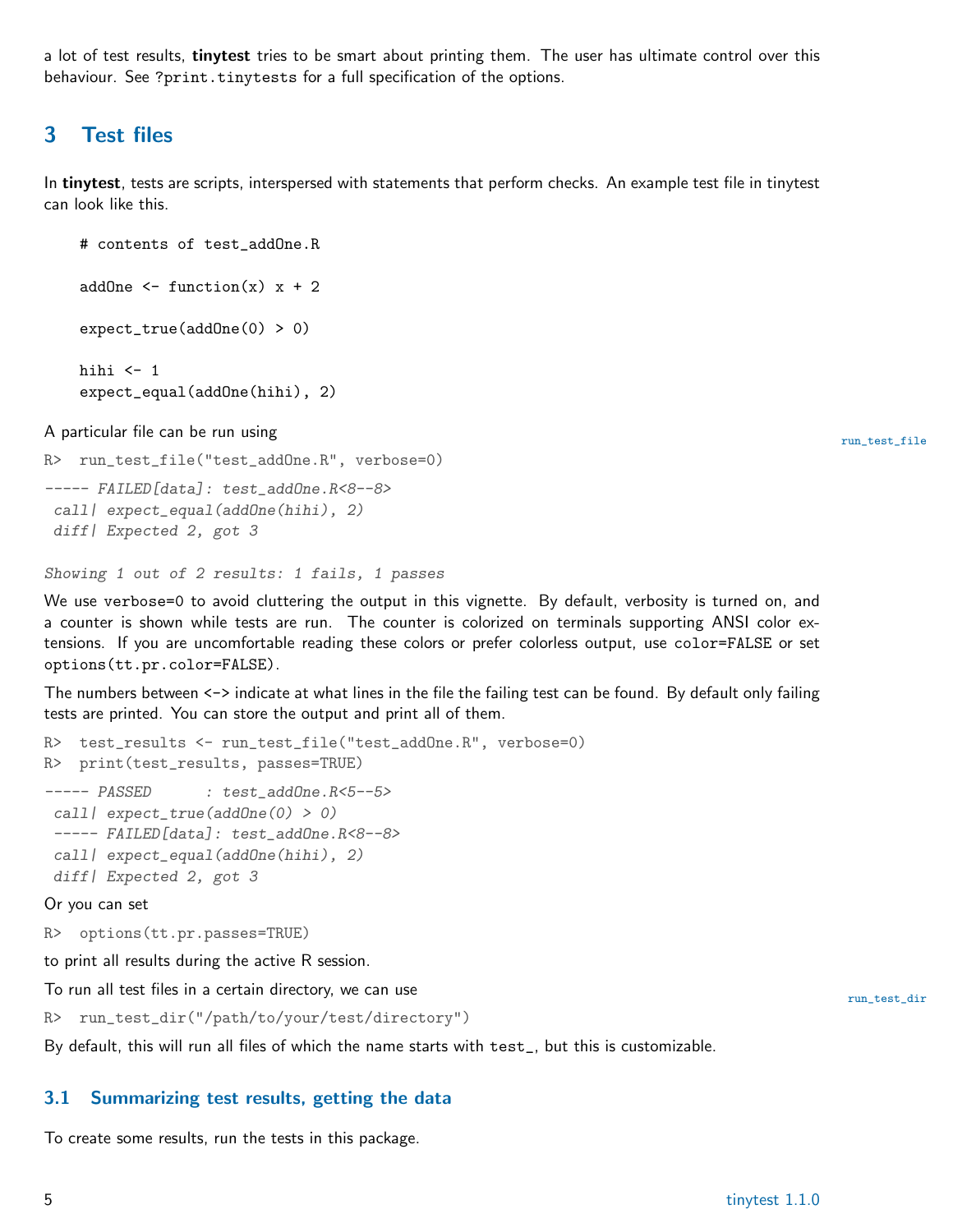a lot of test results, tinytest tries to be smart about printing them. The user has ultimate control over this behaviour. See ?print.tinytests for a full specification of the options.

### <span id="page-4-0"></span>3 Test files

In tinytest, tests are scripts, interspersed with statements that perform checks. An example test file in tinytest can look like this.

```
# contents of test_addOne.R
addOne \leq function(x) x + 2expect_true(addOne(0) > 0)
hihi \leftarrow 1
expect_equal(addOne(hihi), 2)
```
A particular file can be run using run  $\mathcal{A}$  is a set of the control of the control of the control of the control of the control of the control of the control of the control of the control of the control of the control

```
R> run_test_file("test_addOne.R", verbose=0)
----- FAILED[data]: test_addOne.R<8--8>
 call | expect_equal(addOne(hihi), 2)
 diff| Expected 2, got 3
```
Showing 1 out of 2 results: 1 fails, 1 passes

We use verbose=0 to avoid cluttering the output in this vignette. By default, verbosity is turned on, and a counter is shown while tests are run. The counter is colorized on terminals supporting ANSI color extensions. If you are uncomfortable reading these colors or prefer colorless output, use color=FALSE or set options(tt.pr.color=FALSE).

The numbers between  $\leftarrow$  indicate at what lines in the file the failing test can be found. By default only failing tests are printed. You can store the output and print all of them.

```
R> test_results <- run_test_file("test_addOne.R", verbose=0)
R> print(test_results, passes=TRUE)
----- PASSED : test_addOne.R<5--5>
 call | expect_true(addOne(0) > 0)
 ----- FAILED[data]: test_addOne.R<8--8>
 call | expect_equal(addOne(hihi), 2)
 diff| Expected 2, got 3
Or you can set
```
R> options(tt.pr.passes=TRUE)

to print all results during the active R session.

To run all test files in a certain directory, we can use run test of the state of the state of the state of the state of the state of the state of the state of the state of the state of the state of the state of the state

R> run\_test\_dir("/path/to/your/test/directory")

By default, this will run all files of which the name starts with test\_, but this is customizable.

#### <span id="page-4-1"></span>3.1 Summarizing test results, getting the data

To create some results, run the tests in this package.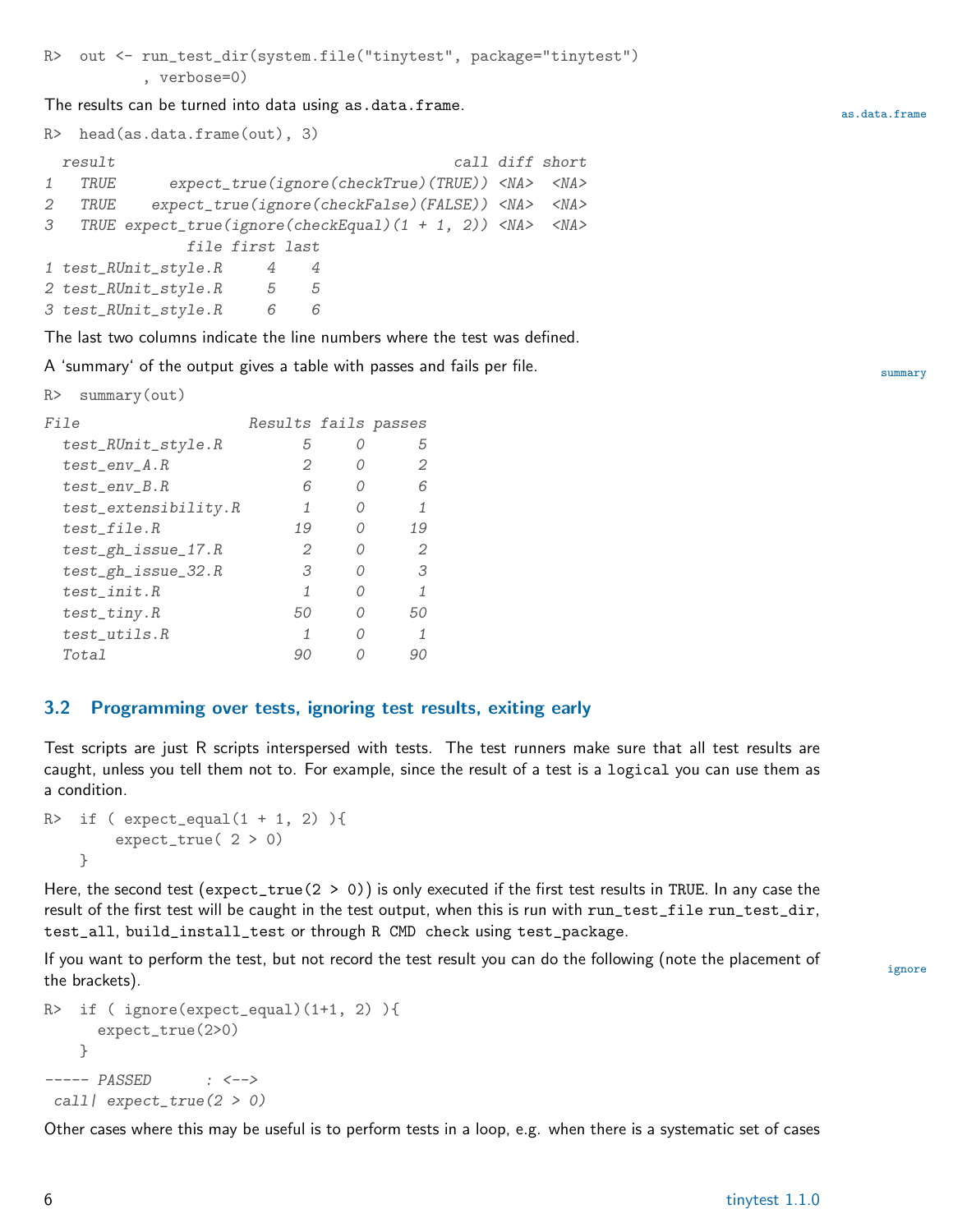R> out <- run\_test\_dir(system.file("tinytest", package="tinytest") , verbose=0)

The results can be turned into data using as.data.frame.

R> head(as.data.frame(out), 3)

|   | result |                                                                        |                 |     |  |  | call diff short |
|---|--------|------------------------------------------------------------------------|-----------------|-----|--|--|-----------------|
| 1 | TRUE   | expect_true(ignore(checkTrue)(TRUE)) <na> <na></na></na>               |                 |     |  |  |                 |
| 2 | TRUE   | expect_true(ignore(checkFalse)(FALSE)) <na> <na></na></na>             |                 |     |  |  |                 |
| 3 |        | TRUE expect_true(ignore(checkEqual) $(1 + 1, 2)$ ) <na> <na></na></na> |                 |     |  |  |                 |
|   |        |                                                                        | file first last |     |  |  |                 |
|   |        | 1 test_RUnit_style.R                                                   | 4               | 4   |  |  |                 |
|   |        | 2 test_RUnit_style.R                                                   | 5               | - 5 |  |  |                 |
|   |        | 3 test_RUnit_style.R                                                   | 6               | 6   |  |  |                 |
|   |        |                                                                        |                 |     |  |  |                 |

The last two columns indicate the line numbers where the test was defined.

A 'summary' of the output gives a table with passes and fails per file.

```
R> summary(out)
```

| <i>File</i>             | Results fails passes |    |
|-------------------------|----------------------|----|
| test_RUnit_style.R      | Ь                    | 5  |
| $test\_env_A.R$         | 2                    | 2  |
| $test\_env_B.R$         | 6                    | 6  |
| test_extensibility.R    | 1                    | 1  |
| test_file.R             | 19                   | 19 |
| $test\_gh\_issue\_17.R$ | 2                    | 2  |
| $test\_gh\_issue\_32.R$ | 3.                   | 3. |
| $test\_init.R$          | 1                    | 1  |
| $test\_tiny.R$          | 50                   | 50 |
| $test\_utils.R$         | 1                    |    |
| Total                   | 90                   |    |
|                         |                      |    |

#### <span id="page-5-0"></span>3.2 Programming over tests, ignoring test results, exiting early

Test scripts are just R scripts interspersed with tests. The test runners make sure that all test results are caught, unless you tell them not to. For example, since the result of a test is a logical you can use them as a condition.

```
R> if ( expect\_equal(1 + 1, 2) ){
        expect_true( 2 > 0)
    }
```
Here, the second test (expect\_true(2 > 0)) is only executed if the first test results in TRUE. In any case the result of the first test will be caught in the test output, when this is run with run\_test\_file run\_test\_dir, test\_all, build\_install\_test or through R CMD check using test\_package.

If you want to perform the test, but not record the test result you can do the following (note the placement of ignore the brackets).

```
R> if ( ignore(expect_equal)(1+1, 2) ){
     expect_true(2>0)
   }
----- PASSED : <-->
 call| expect_true(2 > 0)
```
Other cases where this may be useful is to perform tests in a loop, e.g. when there is a systematic set of cases

as.data.frame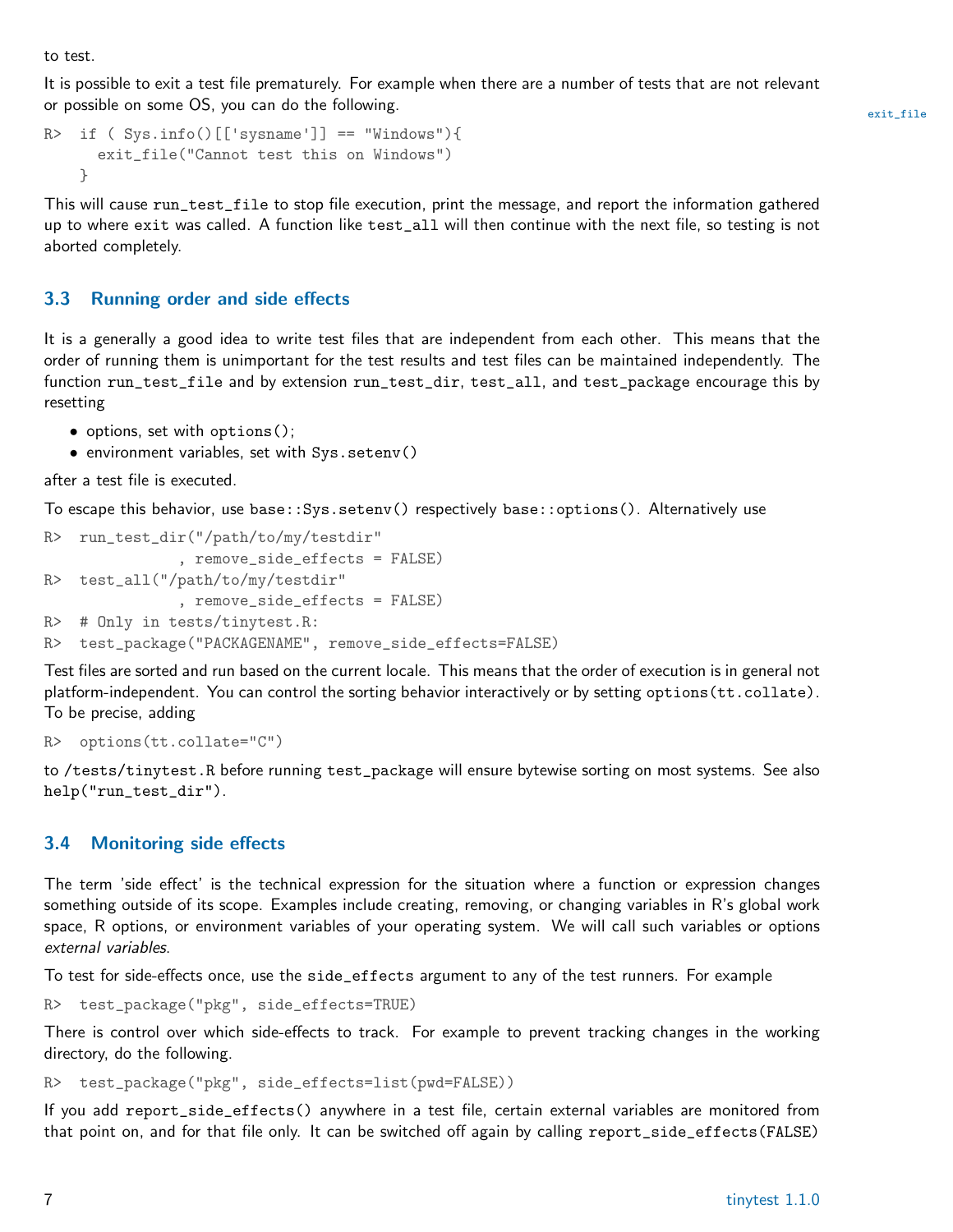to test.

It is possible to exit a test file prematurely. For example when there are a number of tests that are not relevant or possible on some OS, you can do the following. The set of the set of the set of the sexit\_file

```
R> if ( Sys.info()[['sysname']] == "Windows"){
      exit_file("Cannot test this on Windows")
    }
```
This will cause run\_test\_file to stop file execution, print the message, and report the information gathered up to where exit was called. A function like test\_all will then continue with the next file, so testing is not aborted completely.

#### <span id="page-6-0"></span>3.3 Running order and side effects

It is a generally a good idea to write test files that are independent from each other. This means that the order of running them is unimportant for the test results and test files can be maintained independently. The function run\_test\_file and by extension run\_test\_dir, test\_all, and test\_package encourage this by resetting

- options, set with options();
- environment variables, set with Sys.setenv()

after a test file is executed.

To escape this behavior, use base::Sys.setenv() respectively base::options(). Alternatively use

```
R> run_test_dir("/path/to/my/testdir"
              , remove_side_effects = FALSE)
R> test_all("/path/to/my/testdir"
              , remove_side_effects = FALSE)
R> # Only in tests/tinytest.R:
R> test_package("PACKAGENAME", remove_side_effects=FALSE)
```
Test files are sorted and run based on the current locale. This means that the order of execution is in general not platform-independent. You can control the sorting behavior interactively or by setting options(tt.collate). To be precise, adding

```
R> options(tt.collate="C")
```
to /tests/tinytest.R before running test\_package will ensure bytewise sorting on most systems. See also help("run\_test\_dir").

#### <span id="page-6-1"></span>3.4 Monitoring side effects

The term 'side effect' is the technical expression for the situation where a function or expression changes something outside of its scope. Examples include creating, removing, or changing variables in R's global work space, R options, or environment variables of your operating system. We will call such variables or options external variables.

To test for side-effects once, use the side\_effects argument to any of the test runners. For example

R> test\_package("pkg", side\_effects=TRUE)

There is control over which side-effects to track. For example to prevent tracking changes in the working directory, do the following.

R> test\_package("pkg", side\_effects=list(pwd=FALSE))

If you add report\_side\_effects() anywhere in a test file, certain external variables are monitored from that point on, and for that file only. It can be switched off again by calling report\_side\_effects(FALSE)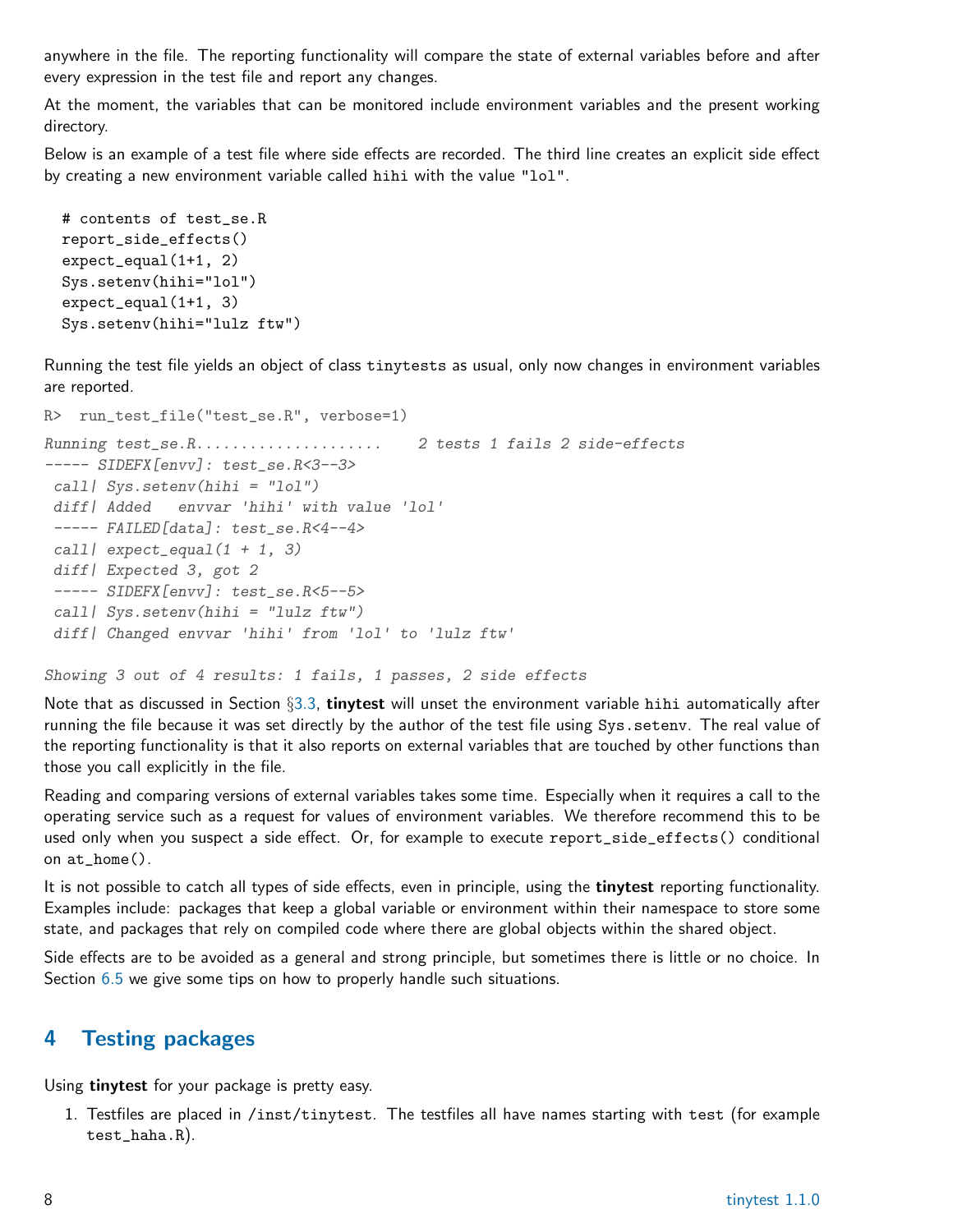anywhere in the file. The reporting functionality will compare the state of external variables before and after every expression in the test file and report any changes.

At the moment, the variables that can be monitored include environment variables and the present working directory.

Below is an example of a test file where side effects are recorded. The third line creates an explicit side effect by creating a new environment variable called hihi with the value "lol".

```
# contents of test_se.R
report_side_effects()
expect_equal(1+1, 2)
Sys.setenv(hihi="lol")
expect_equal(1+1, 3)
Sys.setenv(hihi="lulz ftw")
```
Running the test file yields an object of class tinytests as usual, only now changes in environment variables are reported.

```
R> run_test_file("test_se.R", verbose=1)
Running test_se.R..................... 2 tests 1 fails 2 side-effects
----- SIDEFX[envv]: test_se.R<3--3>
 call| Sys.setenv(hihi = "lol")
 diff| Added envvar 'hihi' with value 'lol'
 ----- FAILED[data]: test_se.R<4--4>
 call \left| \text{expect\_equal}(1 + 1, 3) \right|diff<sup>|</sup> Expected 3, got 2
 ----- SIDEFX[envv]: test_se.R<5--5>
 call Sys.setenv(hihi = "lulz ftw")diff| Changed envvar 'hihi' from 'lol' to 'lulz ftw'
```
Showing 3 out of 4 results: 1 fails, 1 passes, 2 side effects

Note that as discussed in Section  $\S 3.3$ , tinytest will unset the environment variable hihi automatically after running the file because it was set directly by the author of the test file using Sys.setenv. The real value of the reporting functionality is that it also reports on external variables that are touched by other functions than those you call explicitly in the file.

Reading and comparing versions of external variables takes some time. Especially when it requires a call to the operating service such as a request for values of environment variables. We therefore recommend this to be used only when you suspect a side effect. Or, for example to execute report\_side\_effects() conditional on at\_home().

It is not possible to catch all types of side effects, even in principle, using the **tinytest** reporting functionality. Examples include: packages that keep a global variable or environment within their namespace to store some state, and packages that rely on compiled code where there are global objects within the shared object.

Side effects are to be avoided as a general and strong principle, but sometimes there is little or no choice. In Section [6.5](#page-12-1) we give some tips on how to properly handle such situations.

### <span id="page-7-0"></span>4 Testing packages

Using tinytest for your package is pretty easy.

1. Testfiles are placed in /inst/tinytest. The testfiles all have names starting with test (for example test\_haha.R).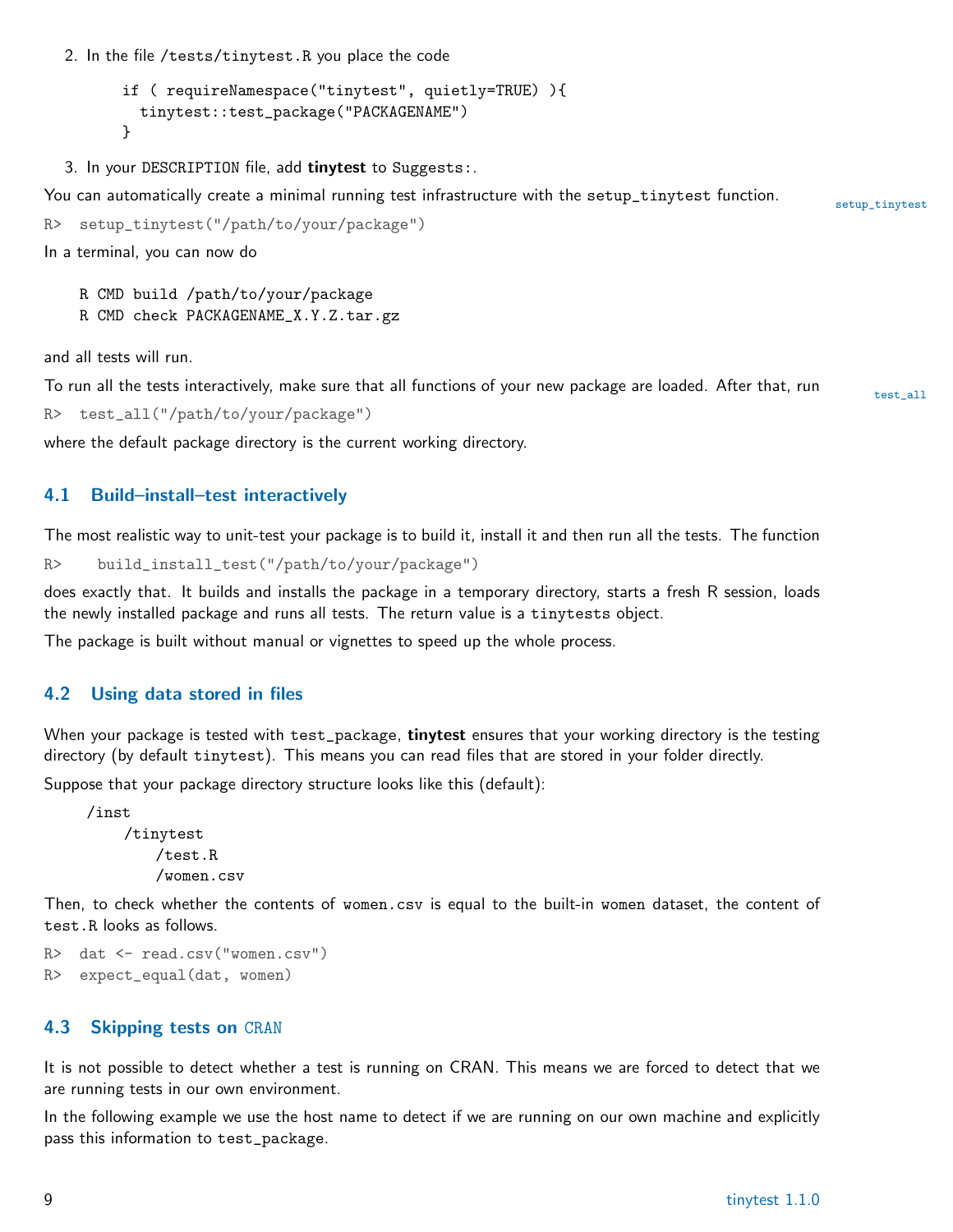2. In the file /tests/tinytest.R you place the code

```
if ( requireNamespace("tinytest", quietly=TRUE) ){
  tinytest::test_package("PACKAGENAME")
}
```
3. In your DESCRIPTION file, add tinytest to Suggests:

You can automatically create a minimal running test infrastructure with the setup\_tinytest function. setup\_tinytest

```
R> setup_tinytest("/path/to/your/package")
```
In a terminal, you can now do

R CMD build /path/to/your/package

R CMD check PACKAGENAME\_X.Y.Z.tar.gz

and all tests will run.

To run all the tests interactively, make sure that all functions of your new package are loaded. After that, run

R> test\_all("/path/to/your/package")

where the default package directory is the current working directory.

#### <span id="page-8-0"></span>4.1 Build–install–test interactively

The most realistic way to unit-test your package is to build it, install it and then run all the tests. The function

R> build\_install\_test("/path/to/your/package")

does exactly that. It builds and installs the package in a temporary directory, starts a fresh R session, loads the newly installed package and runs all tests. The return value is a tinytests object.

The package is built without manual or vignettes to speed up the whole process.

#### <span id="page-8-1"></span>4.2 Using data stored in files

When your package is tested with test\_package, tinytest ensures that your working directory is the testing directory (by default tinytest). This means you can read files that are stored in your folder directly.

Suppose that your package directory structure looks like this (default):

/inst /tinytest /test.R /women.csv

Then, to check whether the contents of women.csv is equal to the built-in women dataset, the content of test.R looks as follows.

```
R> dat <- read.csv("women.csv")
R> expect_equal(dat, women)
```
#### <span id="page-8-2"></span>4.3 Skipping tests on CRAN

It is not possible to detect whether a test is running on CRAN. This means we are forced to detect that we are running tests in our own environment.

In the following example we use the host name to detect if we are running on our own machine and explicitly pass this information to test\_package.

test\_all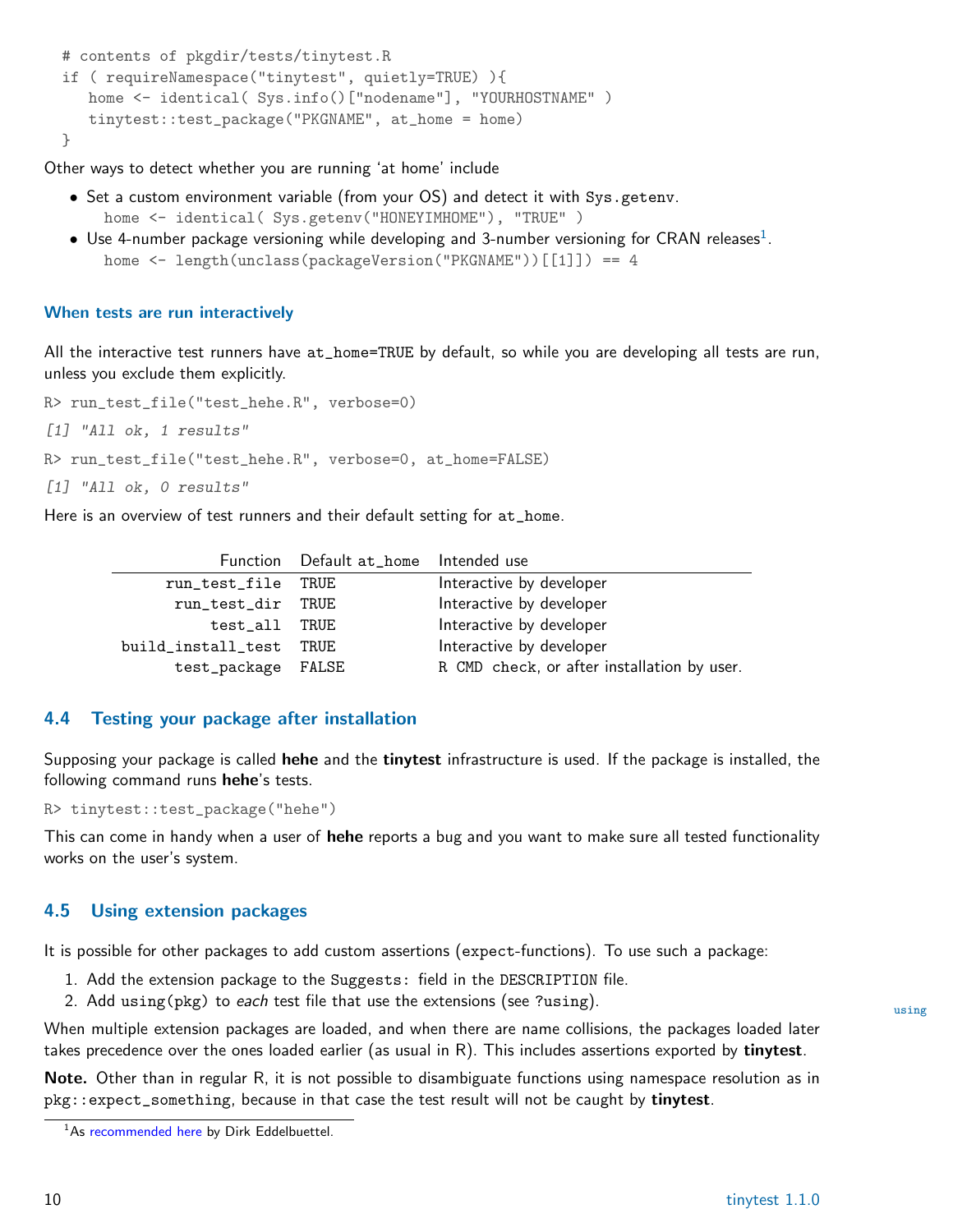```
# contents of pkgdir/tests/tinytest.R
if ( requireNamespace("tinytest", quietly=TRUE) ){
   home <- identical( Sys.info()["nodename"], "YOURHOSTNAME" )
   tinytest::test_package("PKGNAME", at_home = home)
}
```
Other ways to detect whether you are running 'at home' include

- Set a custom environment variable (from your OS) and detect it with Sys.getenv. home <- identical( Sys.getenv("HONEYIMHOME"), "TRUE" )
- $\bullet\,$  Use 4-number package versioning while developing and 3-number versioning for CRAN releases $^1.$  $^1.$  $^1.$ home <- length(unclass(packageVersion("PKGNAME"))[[1]]) == 4

#### When tests are run interactively

All the interactive test runners have at\_home=TRUE by default, so while you are developing all tests are run, unless you exclude them explicitly.

R> run\_test\_file("test\_hehe.R", verbose=0) [1] "All ok, 1 results" R> run\_test\_file("test\_hehe.R", verbose=0, at\_home=FALSE)

[1] "All ok, 0 results"

Here is an overview of test runners and their default setting for at\_home.

|                    | Function Default at_home Intended use |                                             |
|--------------------|---------------------------------------|---------------------------------------------|
| run_test_file TRUE |                                       | Interactive by developer                    |
| run_test_dir TRUE  |                                       | Interactive by developer                    |
| test_all TRUE      |                                       | Interactive by developer                    |
| build_install_test | TRUE                                  | Interactive by developer                    |
| test_package FALSE |                                       | R CMD check, or after installation by user. |

#### <span id="page-9-0"></span>4.4 Testing your package after installation

Supposing your package is called **hehe** and the **tinytest** infrastructure is used. If the package is installed, the following command runs hehe's tests.

R> tinytest::test\_package("hehe")

This can come in handy when a user of hehe reports a bug and you want to make sure all tested functionality works on the user's system.

#### <span id="page-9-1"></span>4.5 Using extension packages

It is possible for other packages to add custom assertions (expect-functions). To use such a package:

- 1. Add the extension package to the Suggests: field in the DESCRIPTION file.
- 2. Add using(pkg) to *each* test file that use the extensions (see ?using). The using using

When multiple extension packages are loaded, and when there are name collisions, the packages loaded later takes precedence over the ones loaded earlier (as usual in R). This includes assertions exported by tinytest.

Note. Other than in regular R, it is not possible to disambiguate functions using namespace resolution as in  $pkg:$ :expect\_something, because in that case the test result will not be caught by tinytest.

<span id="page-9-2"></span><sup>&</sup>lt;sup>1</sup>As [recommended here](https://stackoverflow.com/questions/36166288/skip-tests-on-cran-but-run-locally) by Dirk Eddelbuettel.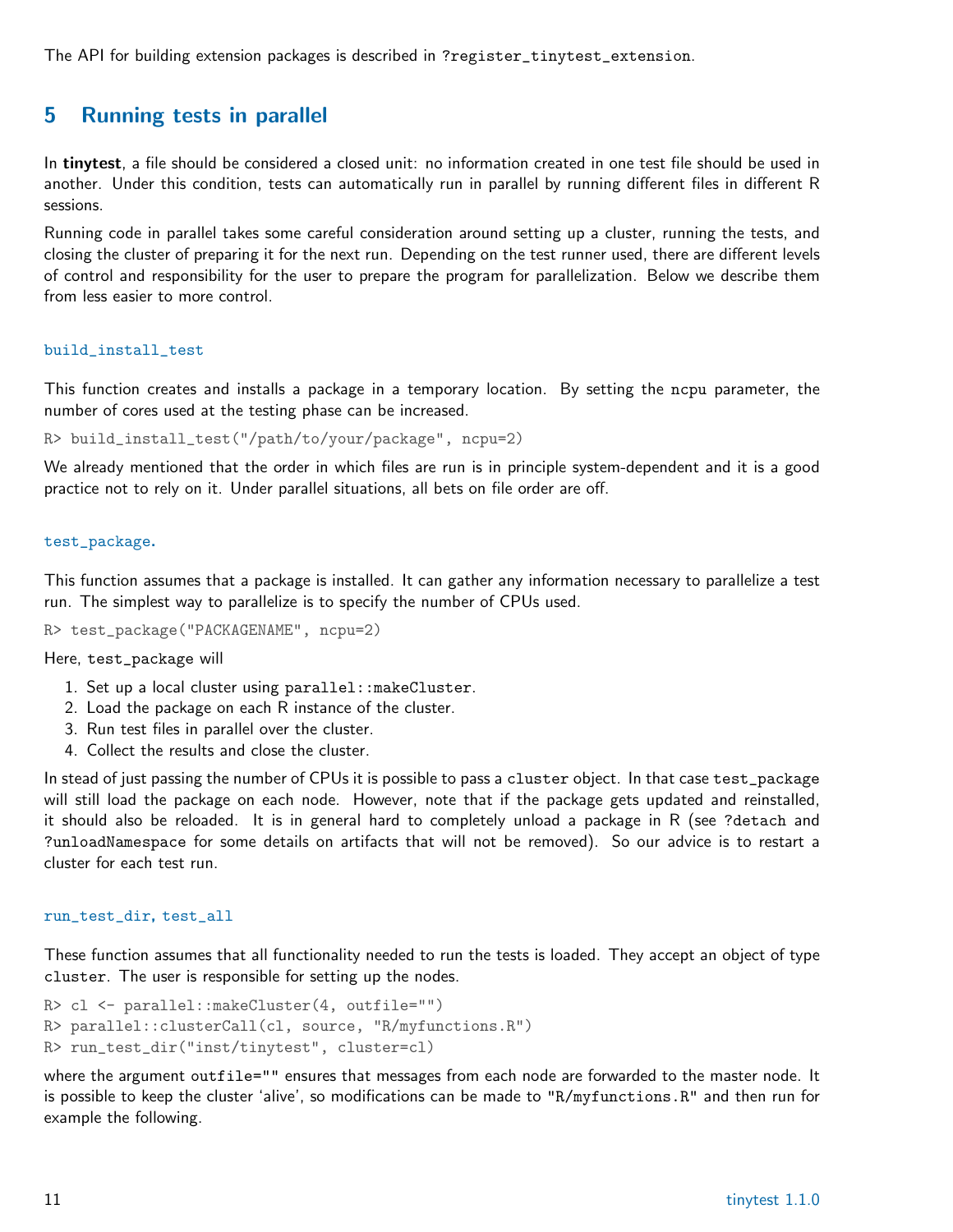The API for building extension packages is described in ?register\_tinytest\_extension.

### <span id="page-10-0"></span>5 Running tests in parallel

In tinytest, a file should be considered a closed unit: no information created in one test file should be used in another. Under this condition, tests can automatically run in parallel by running different files in different R sessions.

Running code in parallel takes some careful consideration around setting up a cluster, running the tests, and closing the cluster of preparing it for the next run. Depending on the test runner used, there are different levels of control and responsibility for the user to prepare the program for parallelization. Below we describe them from less easier to more control.

#### build\_install\_test

This function creates and installs a package in a temporary location. By setting the ncpu parameter, the number of cores used at the testing phase can be increased.

R> build\_install\_test("/path/to/your/package", ncpu=2)

We already mentioned that the order in which files are run is in principle system-dependent and it is a good practice not to rely on it. Under parallel situations, all bets on file order are off.

#### test\_package.

This function assumes that a package is installed. It can gather any information necessary to parallelize a test run. The simplest way to parallelize is to specify the number of CPUs used.

R> test\_package("PACKAGENAME", ncpu=2)

Here, test\_package will

- 1. Set up a local cluster using parallel::makeCluster.
- 2. Load the package on each R instance of the cluster.
- 3. Run test files in parallel over the cluster.
- 4. Collect the results and close the cluster.

In stead of just passing the number of CPUs it is possible to pass a cluster object. In that case test\_package will still load the package on each node. However, note that if the package gets updated and reinstalled, it should also be reloaded. It is in general hard to completely unload a package in R (see ?detach and ?unloadNamespace for some details on artifacts that will not be removed). So our advice is to restart a cluster for each test run.

#### run\_test\_dir, test\_all

These function assumes that all functionality needed to run the tests is loaded. They accept an object of type cluster. The user is responsible for setting up the nodes.

```
R> cl <- parallel::makeCluster(4, outfile="")
R> parallel::clusterCall(cl, source, "R/myfunctions.R")
R> run_test_dir("inst/tinytest", cluster=cl)
```
where the argument outfile="" ensures that messages from each node are forwarded to the master node. It is possible to keep the cluster 'alive', so modifications can be made to "R/myfunctions.R" and then run for example the following.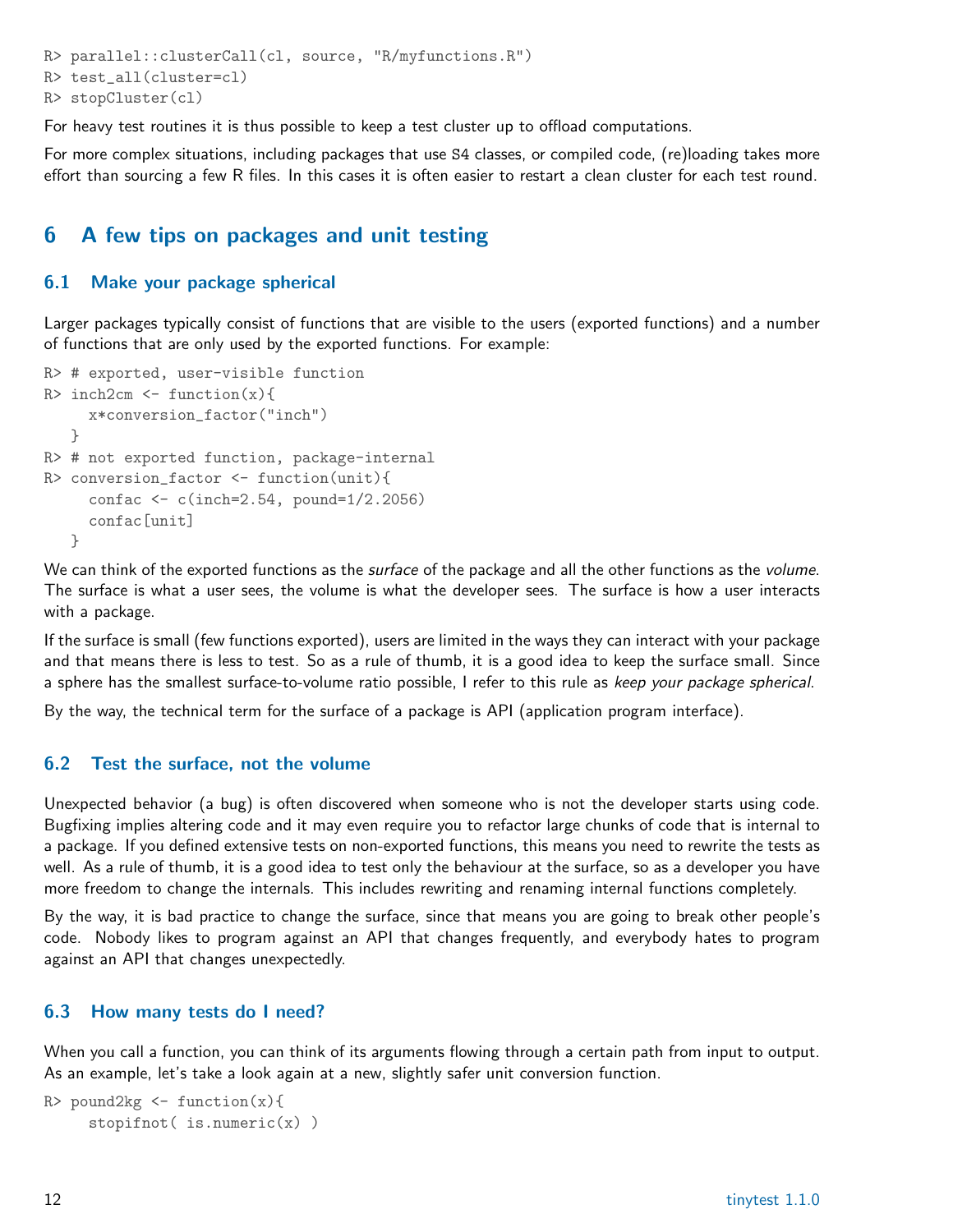```
R> parallel::clusterCall(cl, source, "R/myfunctions.R")
R> test_all(cluster=cl)
R> stopCluster(cl)
```
For heavy test routines it is thus possible to keep a test cluster up to offload computations.

For more complex situations, including packages that use S4 classes, or compiled code, (re)loading takes more effort than sourcing a few R files. In this cases it is often easier to restart a clean cluster for each test round.

## <span id="page-11-0"></span>6 A few tips on packages and unit testing

#### <span id="page-11-1"></span>6.1 Make your package spherical

Larger packages typically consist of functions that are visible to the users (exported functions) and a number of functions that are only used by the exported functions. For example:

```
R> # exported, user-visible function
R> inch2cm <- function(x){
     x*conversion_factor("inch")
   }
R> # not exported function, package-internal
R> conversion_factor <- function(unit){
     confac <- c(inch=2.54, pound=1/2.2056)
     confac[unit]
   }
```
We can think of the exported functions as the *surface* of the package and all the other functions as the *volume*. The surface is what a user sees, the volume is what the developer sees. The surface is how a user interacts with a package.

If the surface is small (few functions exported), users are limited in the ways they can interact with your package and that means there is less to test. So as a rule of thumb, it is a good idea to keep the surface small. Since a sphere has the smallest surface-to-volume ratio possible, I refer to this rule as keep your package spherical.

By the way, the technical term for the surface of a package is API (application program interface).

#### <span id="page-11-2"></span>6.2 Test the surface, not the volume

Unexpected behavior (a bug) is often discovered when someone who is not the developer starts using code. Bugfixing implies altering code and it may even require you to refactor large chunks of code that is internal to a package. If you defined extensive tests on non-exported functions, this means you need to rewrite the tests as well. As a rule of thumb, it is a good idea to test only the behaviour at the surface, so as a developer you have more freedom to change the internals. This includes rewriting and renaming internal functions completely.

By the way, it is bad practice to change the surface, since that means you are going to break other people's code. Nobody likes to program against an API that changes frequently, and everybody hates to program against an API that changes unexpectedly.

#### <span id="page-11-3"></span>6.3 How many tests do I need?

When you call a function, you can think of its arguments flowing through a certain path from input to output. As an example, let's take a look again at a new, slightly safer unit conversion function.

```
R> pound2kg \leftarrow function(x){
     stopifnot( is.numeric(x))
```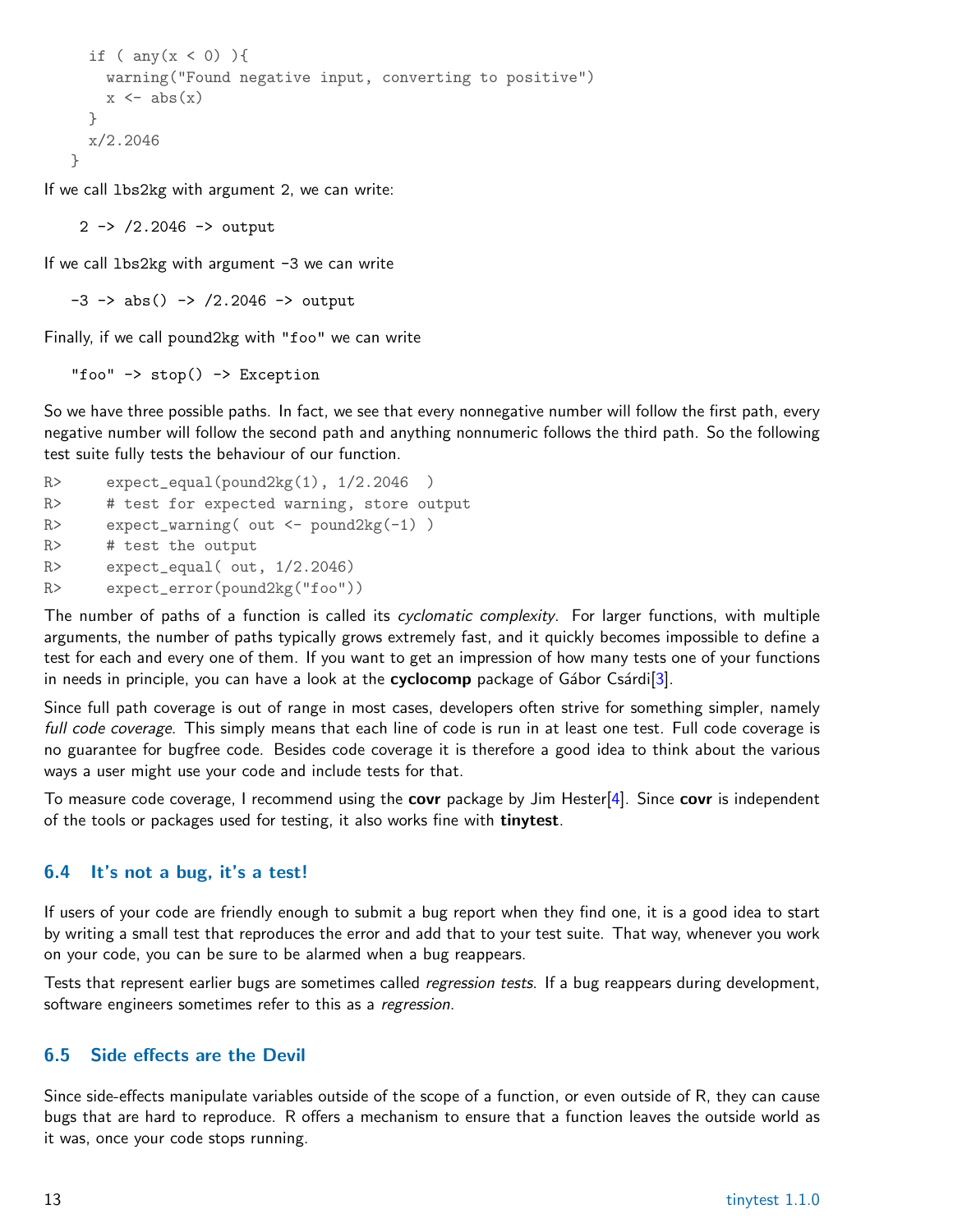```
if ( any(x < 0) ){
    warning("Found negative input, converting to positive")
    x \leftarrow abs(x)}
 x/2.2046
}
```
If we call lbs2kg with argument 2, we can write:

2 -> /2.2046 -> output

If we call  $lbs2kg$  with argument  $-3$  we can write

 $-3$   $\rightarrow$  abs()  $\rightarrow$  /2.2046  $\rightarrow$  output

Finally, if we call pound2kg with "foo" we can write

"foo"  $\rightarrow$  stop()  $\rightarrow$  Exception

So we have three possible paths. In fact, we see that every nonnegative number will follow the first path, every negative number will follow the second path and anything nonnumeric follows the third path. So the following test suite fully tests the behaviour of our function.

 $R$  expect\_equal(pound2kg(1),  $1/2.2046$ ) R> # test for expected warning, store output R> expect\_warning( out <- pound2kg(-1) ) R> # test the output  $R$ > expect\_equal(out,  $1/2.2046$ ) R> expect\_error(pound2kg("foo"))

The number of paths of a function is called its *cyclomatic complexity*. For larger functions, with multiple arguments, the number of paths typically grows extremely fast, and it quickly becomes impossible to define a test for each and every one of them. If you want to get an impression of how many tests one of your functions in needs in principle, you can have a look at the cyclocomp package of Gábor Csárdi<sup>[\[3\]](#page-14-2)</sup>.

Since full path coverage is out of range in most cases, developers often strive for something simpler, namely full code coverage. This simply means that each line of code is run in at least one test. Full code coverage is no guarantee for bugfree code. Besides code coverage it is therefore a good idea to think about the various ways a user might use your code and include tests for that.

To measure code coverage, I recommend using the **covr** package by Jim Hester[\[4\]](#page-14-3). Since **covr** is independent of the tools or packages used for testing, it also works fine with tinytest.

#### <span id="page-12-0"></span>6.4 It's not a bug, it's a test!

If users of your code are friendly enough to submit a bug report when they find one, it is a good idea to start by writing a small test that reproduces the error and add that to your test suite. That way, whenever you work on your code, you can be sure to be alarmed when a bug reappears.

Tests that represent earlier bugs are sometimes called *regression tests*. If a bug reappears during development, software engineers sometimes refer to this as a regression.

#### <span id="page-12-1"></span>6.5 Side effects are the Devil

Since side-effects manipulate variables outside of the scope of a function, or even outside of R, they can cause bugs that are hard to reproduce. R offers a mechanism to ensure that a function leaves the outside world as it was, once your code stops running.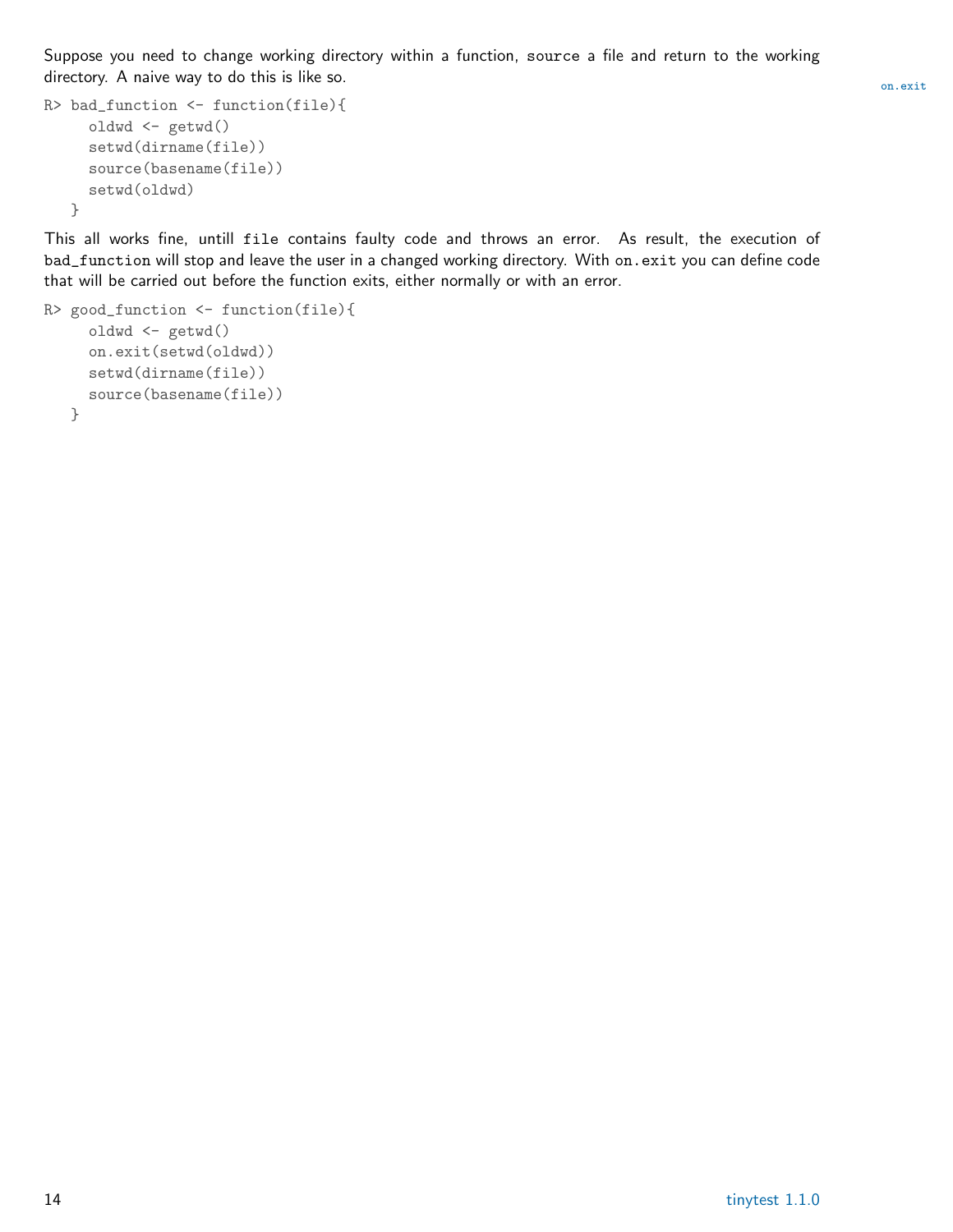Suppose you need to change working directory within a function, source a file and return to the working directory. A naive way to do this is like so.  $\sum_{\text{on exit}}$ 

```
R> bad_function <- function(file){
     oldwd <- getwd()
     setwd(dirname(file))
     source(basename(file))
    setwd(oldwd)
  }
```
This all works fine, untill file contains faulty code and throws an error. As result, the execution of bad\_function will stop and leave the user in a changed working directory. With on.exit you can define code that will be carried out before the function exits, either normally or with an error.

```
R> good_function <- function(file){
     oldwd <- getwd()
     on.exit(setwd(oldwd))
    setwd(dirname(file))
    source(basename(file))
  }
```